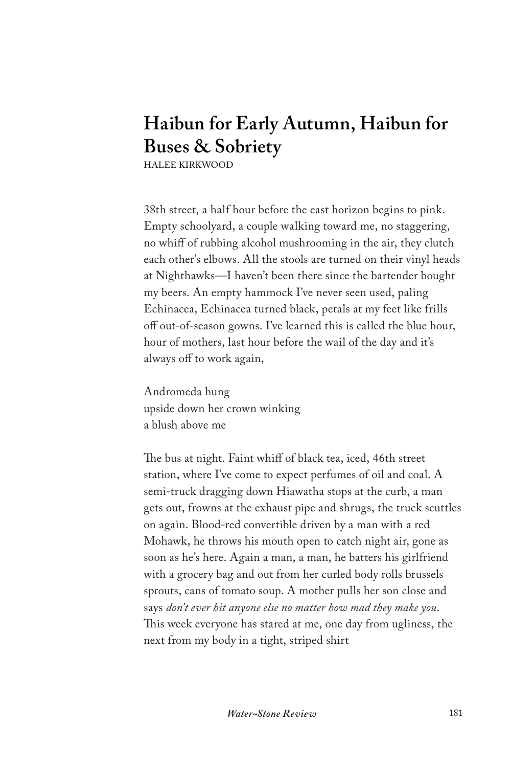## **Haibun for Early Autumn, Haibun for Buses & Sobriety**

HALEE KIRKWOOD

38th street, a half hour before the east horizon begins to pink. Empty schoolyard, a couple walking toward me, no staggering, no whiff of rubbing alcohol mushrooming in the air, they clutch each other's elbows. All the stools are turned on their vinyl heads at Nighthawks—I haven't been there since the bartender bought my beers. An empty hammock I've never seen used, paling Echinacea, Echinacea turned black, petals at my feet like frills off out-of-season gowns. I've learned this is called the blue hour, hour of mothers, last hour before the wail of the day and it's always off to work again,

Andromeda hung upside down her crown winking a blush above me

The bus at night. Faint whiff of black tea, iced, 46th street station, where I've come to expect perfumes of oil and coal. A semi-truck dragging down Hiawatha stops at the curb, a man gets out, frowns at the exhaust pipe and shrugs, the truck scuttles on again. Blood-red convertible driven by a man with a red Mohawk, he throws his mouth open to catch night air, gone as soon as he's here. Again a man, a man, he batters his girlfriend with a grocery bag and out from her curled body rolls brussels sprouts, cans of tomato soup. A mother pulls her son close and says *don't ever hit anyone else no matter how mad they make you*. This week everyone has stared at me, one day from ugliness, the next from my body in a tight, striped shirt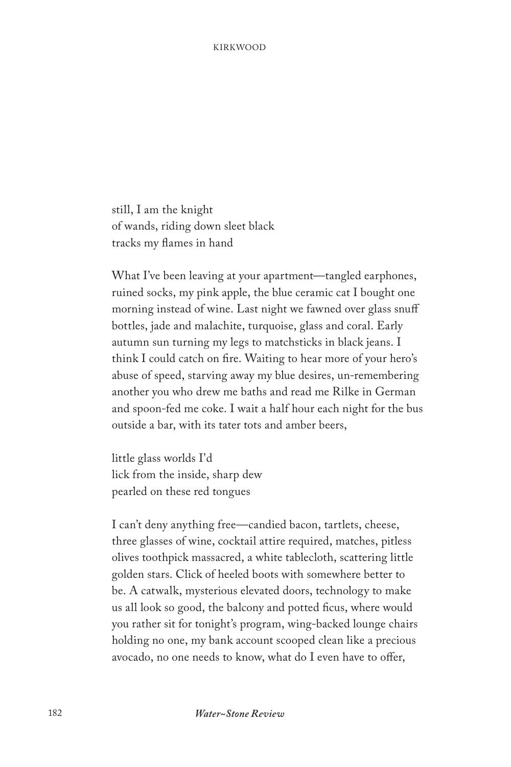still, I am the knight of wands, riding down sleet black tracks my flames in hand

What I've been leaving at your apartment—tangled earphones, ruined socks, my pink apple, the blue ceramic cat I bought one morning instead of wine. Last night we fawned over glass snuff bottles, jade and malachite, turquoise, glass and coral. Early autumn sun turning my legs to matchsticks in black jeans. I think I could catch on fire. Waiting to hear more of your hero's abuse of speed, starving away my blue desires, un-remembering another you who drew me baths and read me Rilke in German and spoon-fed me coke. I wait a half hour each night for the bus outside a bar, with its tater tots and amber beers,

little glass worlds I'd lick from the inside, sharp dew pearled on these red tongues

I can't deny anything free—candied bacon, tartlets, cheese, three glasses of wine, cocktail attire required, matches, pitless olives toothpick massacred, a white tablecloth, scattering little golden stars. Click of heeled boots with somewhere better to be. A catwalk, mysterious elevated doors, technology to make us all look so good, the balcony and potted ficus, where would you rather sit for tonight's program, wing-backed lounge chairs holding no one, my bank account scooped clean like a precious avocado, no one needs to know, what do I even have to offer,